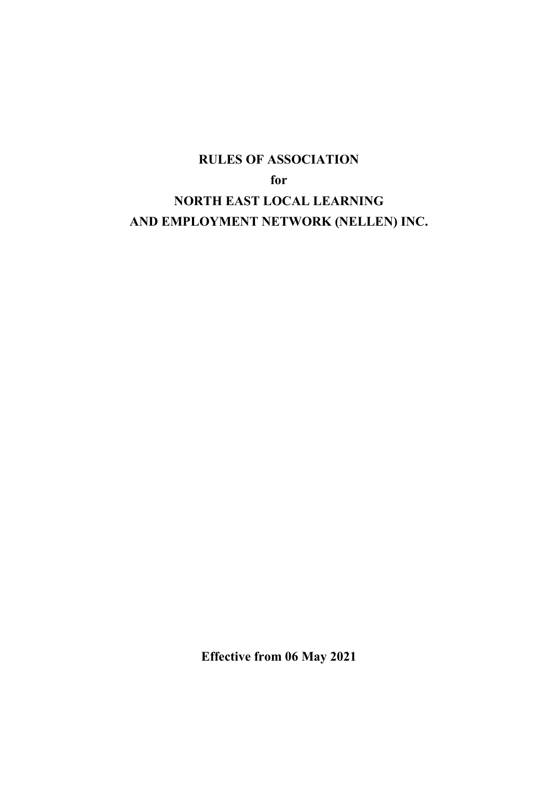# **RULES OF ASSOCIATION for NORTH EAST LOCAL LEARNING AND EMPLOYMENT NETWORK (NELLEN) INC.**

**Effective from 06 May 2021**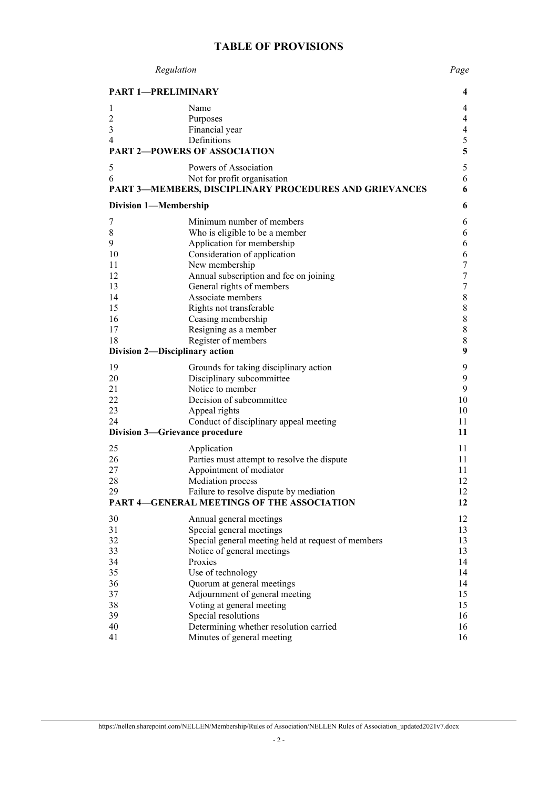### **TABLE OF PROVISIONS**

|                | Regulation                                             | Page                    |
|----------------|--------------------------------------------------------|-------------------------|
|                | <b>PART 1-PRELIMINARY</b>                              | 4                       |
| 1              | Name                                                   | 4                       |
| $\overline{2}$ | Purposes                                               | 4                       |
| 3              | Financial year                                         | $\overline{4}$          |
| 4              | Definitions                                            | 5                       |
|                | <b>PART 2-POWERS OF ASSOCIATION</b>                    | $\overline{\mathbf{5}}$ |
| 5              | Powers of Association                                  | $\sqrt{5}$              |
| 6              | Not for profit organisation                            | 6                       |
|                | PART 3-MEMBERS, DISCIPLINARY PROCEDURES AND GRIEVANCES | 6                       |
|                | <b>Division 1-Membership</b>                           | 6                       |
| 7              | Minimum number of members                              | 6                       |
| 8              | Who is eligible to be a member                         | 6                       |
| 9              | Application for membership                             | 6                       |
| 10             | Consideration of application                           | $\sqrt{6}$              |
| 11             | New membership                                         | $\overline{7}$          |
| 12             | Annual subscription and fee on joining                 | $\overline{7}$          |
| 13             | General rights of members                              | $\overline{7}$          |
| 14             | Associate members                                      | $\,$ $\,$               |
| 15             | Rights not transferable                                | $\,$ $\,$               |
| 16             | Ceasing membership                                     | $\,$ $\,$               |
| 17             | Resigning as a member                                  | $\,$ $\,$               |
| 18             | Register of members                                    | $\,$ $\,$               |
|                | Division 2-Disciplinary action                         | $\boldsymbol{9}$        |
| 19             | Grounds for taking disciplinary action                 | 9                       |
| 20             | Disciplinary subcommittee                              | 9                       |
| 21             | Notice to member                                       | 9                       |
| 22             | Decision of subcommittee                               | 10                      |
| 23             | Appeal rights                                          | 10                      |
| 24             | Conduct of disciplinary appeal meeting                 | 11                      |
|                | <b>Division 3-Grievance procedure</b>                  | 11                      |
| 25             | Application                                            | 11                      |
| 26             | Parties must attempt to resolve the dispute            | 11                      |
| 27             | Appointment of mediator                                | 11                      |
| 28             | Mediation process                                      | 12                      |
| 29             | Failure to resolve dispute by mediation                | 12                      |
|                | <b>PART 4-GENERAL MEETINGS OF THE ASSOCIATION</b>      | 12                      |
| 30             | Annual general meetings                                | 12                      |
| 31             | Special general meetings                               | 13                      |
| 32             | Special general meeting held at request of members     | 13                      |
| 33             | Notice of general meetings                             | 13                      |
| 34             | Proxies                                                | 14                      |
| 35             | Use of technology                                      | 14                      |
| 36             | Quorum at general meetings                             | 14                      |
| 37             | Adjournment of general meeting                         | 15                      |
| 38             | Voting at general meeting                              | 15                      |
| 39             |                                                        | 16                      |
|                | Special resolutions                                    |                         |
| 40<br>41       | Determining whether resolution carried                 | 16                      |
|                | Minutes of general meeting                             | 16                      |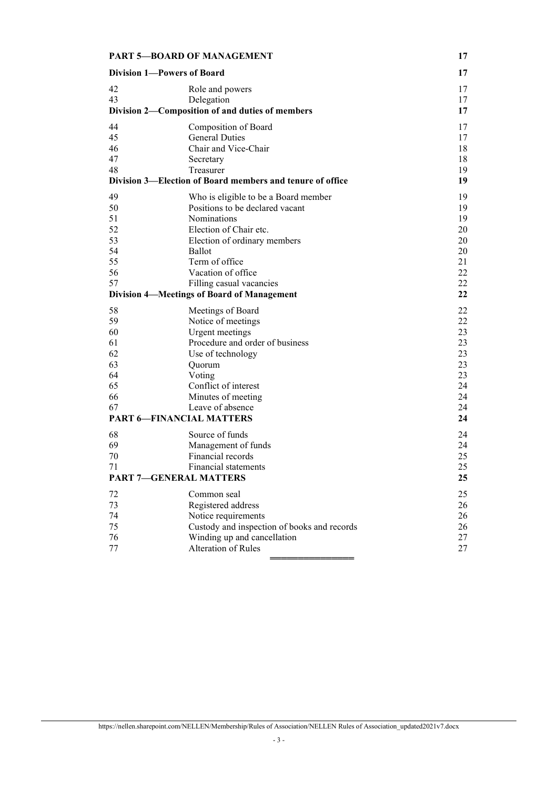| <b>PART 5-BOARD OF MANAGEMENT</b>               |                                                           | 17 |
|-------------------------------------------------|-----------------------------------------------------------|----|
| <b>Division 1—Powers of Board</b>               |                                                           | 17 |
| 42                                              | Role and powers                                           | 17 |
| 43                                              | Delegation                                                | 17 |
| Division 2-Composition of and duties of members | 17                                                        |    |
| 44                                              | Composition of Board                                      | 17 |
| 45                                              | <b>General Duties</b>                                     | 17 |
| 46                                              | Chair and Vice-Chair                                      | 18 |
| 47                                              | Secretary                                                 | 18 |
| 48                                              | Treasurer                                                 | 19 |
|                                                 | Division 3—Election of Board members and tenure of office | 19 |
| 49                                              | Who is eligible to be a Board member                      | 19 |
| 50                                              | Positions to be declared vacant                           | 19 |
| 51                                              | <b>Nominations</b>                                        | 19 |
| 52                                              | Election of Chair etc.                                    | 20 |
| 53                                              | Election of ordinary members                              | 20 |
| 54                                              | Ballot                                                    | 20 |
| 55                                              | Term of office                                            | 21 |
| 56                                              | Vacation of office                                        | 22 |
| 57                                              | Filling casual vacancies                                  | 22 |
| Division 4-Meetings of Board of Management      |                                                           |    |
| 58                                              | Meetings of Board                                         | 22 |
| 59                                              | Notice of meetings                                        | 22 |
| 60                                              | <b>Urgent</b> meetings                                    | 23 |
| 61                                              | Procedure and order of business                           | 23 |
| 62                                              | Use of technology                                         | 23 |
| 63                                              | Quorum                                                    | 23 |
| 64                                              | Voting                                                    | 23 |
| 65                                              | Conflict of interest                                      | 24 |
| 66                                              | Minutes of meeting                                        | 24 |
| 67                                              | Leave of absence                                          | 24 |
|                                                 | <b>PART 6-FINANCIAL MATTERS</b>                           | 24 |
| 68                                              | Source of funds                                           | 24 |
| 69                                              | Management of funds                                       | 24 |
| 70                                              | Financial records                                         | 25 |
| 71                                              | Financial statements                                      | 25 |
| <b>PART 7-GENERAL MATTERS</b>                   |                                                           | 25 |
| 72                                              | Common seal                                               | 25 |
| 73                                              | Registered address                                        | 26 |
| 74                                              | Notice requirements                                       | 26 |
| 75                                              | Custody and inspection of books and records               | 26 |
| 76                                              | Winding up and cancellation                               | 27 |
| 77                                              | Alteration of Rules                                       | 27 |
|                                                 |                                                           |    |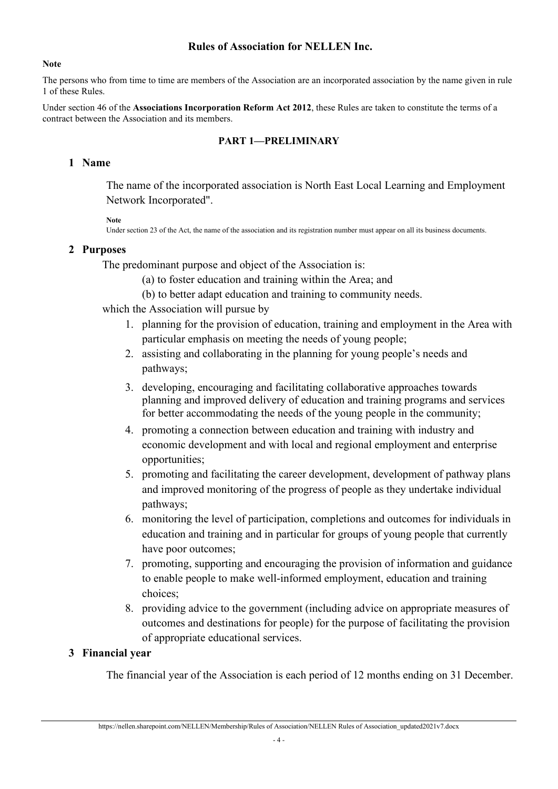#### **Rules of Association for NELLEN Inc.**

#### **Note**

The persons who from time to time are members of the Association are an incorporated association by the name given in rule 1 of these Rules.

Under section 46 of the **Associations Incorporation Reform Act 2012**, these Rules are taken to constitute the terms of a contract between the Association and its members.

#### **PART 1—PRELIMINARY**

### **1 Name**

The name of the incorporated association is North East Local Learning and Employment Network Incorporated".

**Note**

Under section 23 of the Act, the name of the association and its registration number must appear on all its business documents.

#### **2 Purposes**

The predominant purpose and object of the Association is:

- (a) to foster education and training within the Area; and
- (b) to better adapt education and training to community needs.

which the Association will pursue by

- 1. planning for the provision of education, training and employment in the Area with particular emphasis on meeting the needs of young people;
- 2. assisting and collaborating in the planning for young people's needs and pathways;
- 3. developing, encouraging and facilitating collaborative approaches towards planning and improved delivery of education and training programs and services for better accommodating the needs of the young people in the community;
- 4. promoting a connection between education and training with industry and economic development and with local and regional employment and enterprise opportunities;
- 5. promoting and facilitating the career development, development of pathway plans and improved monitoring of the progress of people as they undertake individual pathways;
- 6. monitoring the level of participation, completions and outcomes for individuals in education and training and in particular for groups of young people that currently have poor outcomes;
- 7. promoting, supporting and encouraging the provision of information and guidance to enable people to make well-informed employment, education and training choices;
- 8. providing advice to the government (including advice on appropriate measures of outcomes and destinations for people) for the purpose of facilitating the provision of appropriate educational services.

#### **3 Financial year**

The financial year of the Association is each period of 12 months ending on 31 December.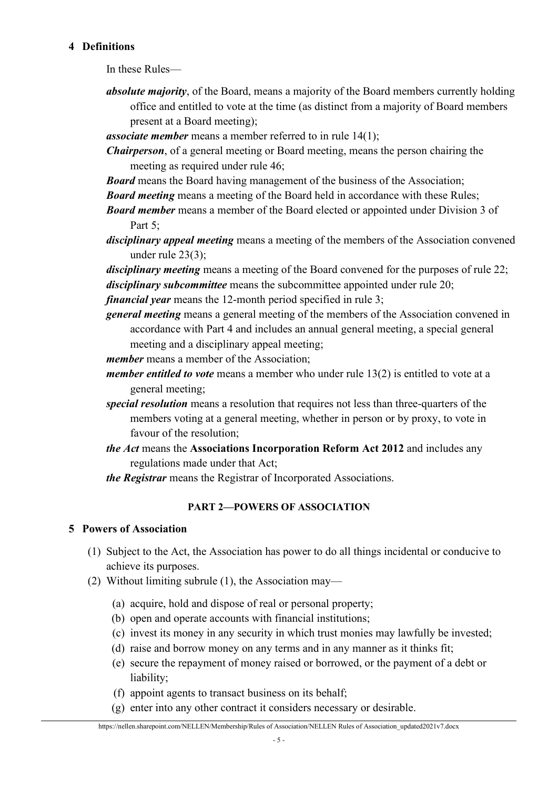### **4 Definitions**

In these Rules—

- *absolute majority*, of the Board, means a majority of the Board members currently holding office and entitled to vote at the time (as distinct from a majority of Board members present at a Board meeting);
- *associate member* means a member referred to in rule 14(1);
- *Chairperson*, of a general meeting or Board meeting, means the person chairing the meeting as required under rule 46;
- *Board* means the Board having management of the business of the Association;
- **Board meeting** means a meeting of the Board held in accordance with these Rules;
- *Board member* means a member of the Board elected or appointed under Division 3 of Part 5;
- *disciplinary appeal meeting* means a meeting of the members of the Association convened under rule 23(3);

*disciplinary meeting* means a meeting of the Board convened for the purposes of rule 22; *disciplinary subcommittee* means the subcommittee appointed under rule 20;

*financial year* means the 12-month period specified in rule 3;

*general meeting* means a general meeting of the members of the Association convened in accordance with Part 4 and includes an annual general meeting, a special general meeting and a disciplinary appeal meeting;

*member* means a member of the Association;

- *member entitled to vote* means a member who under rule 13(2) is entitled to vote at a general meeting;
- *special resolution* means a resolution that requires not less than three-quarters of the members voting at a general meeting, whether in person or by proxy, to vote in favour of the resolution;
- *the Act* means the **Associations Incorporation Reform Act 2012** and includes any regulations made under that Act;

*the Registrar* means the Registrar of Incorporated Associations.

### **PART 2—POWERS OF ASSOCIATION**

#### **5 Powers of Association**

- (1) Subject to the Act, the Association has power to do all things incidental or conducive to achieve its purposes.
- (2) Without limiting subrule (1), the Association may—
	- (a) acquire, hold and dispose of real or personal property;
	- (b) open and operate accounts with financial institutions;
	- (c) invest its money in any security in which trust monies may lawfully be invested;
	- (d) raise and borrow money on any terms and in any manner as it thinks fit;
	- (e) secure the repayment of money raised or borrowed, or the payment of a debt or liability;
	- (f) appoint agents to transact business on its behalf;
	- (g) enter into any other contract it considers necessary or desirable.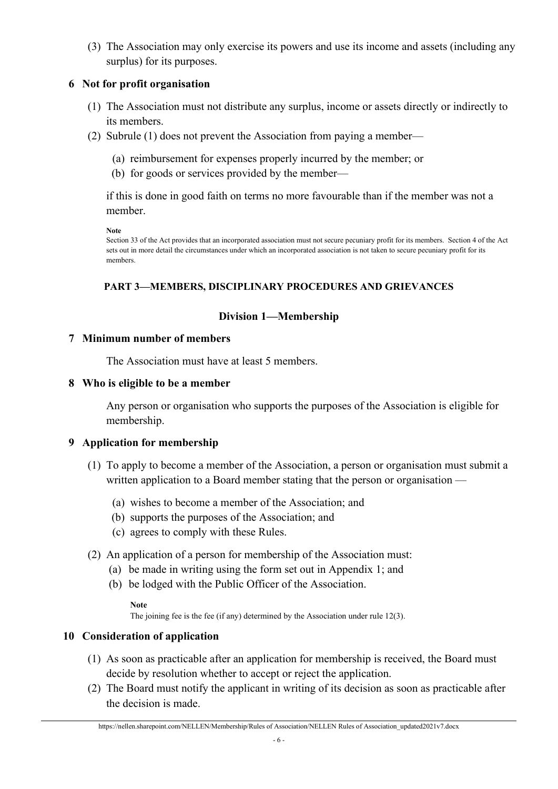(3) The Association may only exercise its powers and use its income and assets (including any surplus) for its purposes.

### **6 Not for profit organisation**

- (1) The Association must not distribute any surplus, income or assets directly or indirectly to its members.
- (2) Subrule (1) does not prevent the Association from paying a member—
	- (a) reimbursement for expenses properly incurred by the member; or
	- (b) for goods or services provided by the member—

if this is done in good faith on terms no more favourable than if the member was not a member.

**Note**

Section 33 of the Act provides that an incorporated association must not secure pecuniary profit for its members. Section 4 of the Act sets out in more detail the circumstances under which an incorporated association is not taken to secure pecuniary profit for its members.

### **PART 3—MEMBERS, DISCIPLINARY PROCEDURES AND GRIEVANCES**

### **Division 1—Membership**

#### **7 Minimum number of members**

The Association must have at least 5 members.

#### **8 Who is eligible to be a member**

Any person or organisation who supports the purposes of the Association is eligible for membership.

#### **9 Application for membership**

- (1) To apply to become a member of the Association, a person or organisation must submit a written application to a Board member stating that the person or organisation —
	- (a) wishes to become a member of the Association; and
	- (b) supports the purposes of the Association; and
	- (c) agrees to comply with these Rules.
- (2) An application of a person for membership of the Association must:
	- (a) be made in writing using the form set out in Appendix 1; and
	- (b) be lodged with the Public Officer of the Association.

#### **Note**

The joining fee is the fee (if any) determined by the Association under rule 12(3).

### **10 Consideration of application**

- (1) As soon as practicable after an application for membership is received, the Board must decide by resolution whether to accept or reject the application.
- (2) The Board must notify the applicant in writing of its decision as soon as practicable after the decision is made.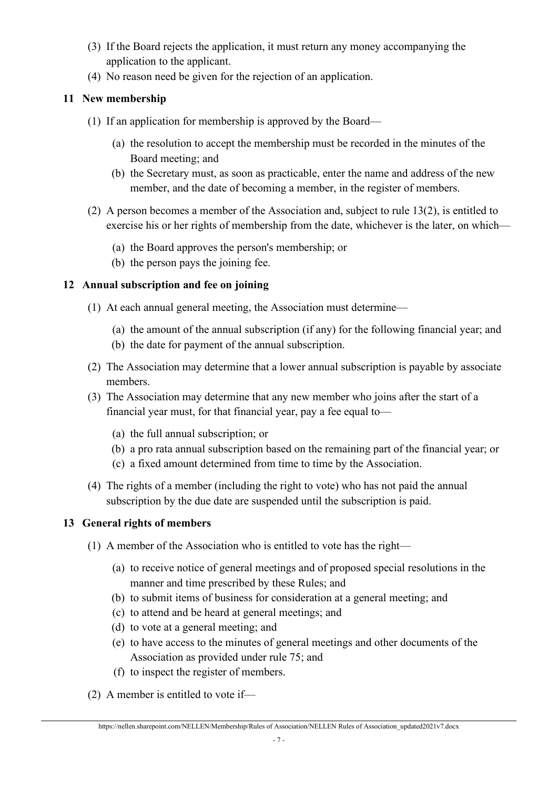- (3) If the Board rejects the application, it must return any money accompanying the application to the applicant.
- (4) No reason need be given for the rejection of an application.

## **11 New membership**

- (1) If an application for membership is approved by the Board—
	- (a) the resolution to accept the membership must be recorded in the minutes of the Board meeting; and
	- (b) the Secretary must, as soon as practicable, enter the name and address of the new member, and the date of becoming a member, in the register of members.
- (2) A person becomes a member of the Association and, subject to rule 13(2), is entitled to exercise his or her rights of membership from the date, whichever is the later, on which—
	- (a) the Board approves the person's membership; or
	- (b) the person pays the joining fee.

### **12 Annual subscription and fee on joining**

- (1) At each annual general meeting, the Association must determine—
	- (a) the amount of the annual subscription (if any) for the following financial year; and
	- (b) the date for payment of the annual subscription.
- (2) The Association may determine that a lower annual subscription is payable by associate members.
- (3) The Association may determine that any new member who joins after the start of a financial year must, for that financial year, pay a fee equal to—
	- (a) the full annual subscription; or
	- (b) a pro rata annual subscription based on the remaining part of the financial year; or
	- (c) a fixed amount determined from time to time by the Association.
- (4) The rights of a member (including the right to vote) who has not paid the annual subscription by the due date are suspended until the subscription is paid.

## **13 General rights of members**

- (1) A member of the Association who is entitled to vote has the right—
	- (a) to receive notice of general meetings and of proposed special resolutions in the manner and time prescribed by these Rules; and
	- (b) to submit items of business for consideration at a general meeting; and
	- (c) to attend and be heard at general meetings; and
	- (d) to vote at a general meeting; and
	- (e) to have access to the minutes of general meetings and other documents of the Association as provided under rule 75; and
	- (f) to inspect the register of members.
- (2) A member is entitled to vote if—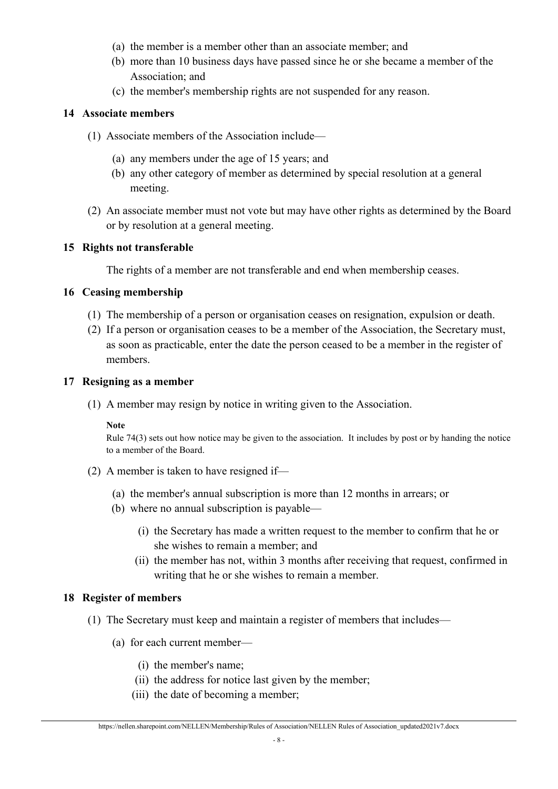- (a) the member is a member other than an associate member; and
- (b) more than 10 business days have passed since he or she became a member of the Association; and
- (c) the member's membership rights are not suspended for any reason.

### **14 Associate members**

- (1) Associate members of the Association include—
	- (a) any members under the age of 15 years; and
	- (b) any other category of member as determined by special resolution at a general meeting.
- (2) An associate member must not vote but may have other rights as determined by the Board or by resolution at a general meeting.

### **15 Rights not transferable**

The rights of a member are not transferable and end when membership ceases.

### **16 Ceasing membership**

- (1) The membership of a person or organisation ceases on resignation, expulsion or death.
- (2) If a person or organisation ceases to be a member of the Association, the Secretary must, as soon as practicable, enter the date the person ceased to be a member in the register of members.

### **17 Resigning as a member**

(1) A member may resign by notice in writing given to the Association.

#### **Note**

Rule 74(3) sets out how notice may be given to the association. It includes by post or by handing the notice to a member of the Board.

- (2) A member is taken to have resigned if—
	- (a) the member's annual subscription is more than 12 months in arrears; or
	- (b) where no annual subscription is payable—
		- (i) the Secretary has made a written request to the member to confirm that he or she wishes to remain a member; and
		- (ii) the member has not, within 3 months after receiving that request, confirmed in writing that he or she wishes to remain a member.

### **18 Register of members**

- (1) The Secretary must keep and maintain a register of members that includes—
	- (a) for each current member—
		- (i) the member's name;
		- (ii) the address for notice last given by the member;
		- (iii) the date of becoming a member;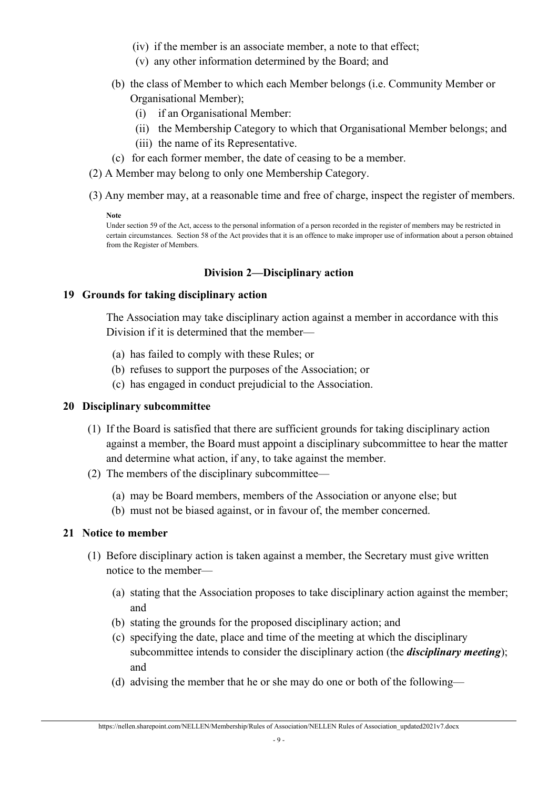- (iv) if the member is an associate member, a note to that effect;
- (v) any other information determined by the Board; and
- (b) the class of Member to which each Member belongs (i.e. Community Member or Organisational Member);
	- (i) if an Organisational Member:
	- (ii) the Membership Category to which that Organisational Member belongs; and
	- (iii) the name of its Representative.
- (c) for each former member, the date of ceasing to be a member.
- (2) A Member may belong to only one Membership Category.
- (3) Any member may, at a reasonable time and free of charge, inspect the register of members.

#### **Note**

Under section 59 of the Act, access to the personal information of a person recorded in the register of members may be restricted in certain circumstances. Section 58 of the Act provides that it is an offence to make improper use of information about a person obtained from the Register of Members.

### **Division 2—Disciplinary action**

### **19 Grounds for taking disciplinary action**

The Association may take disciplinary action against a member in accordance with this Division if it is determined that the member—

- (a) has failed to comply with these Rules; or
- (b) refuses to support the purposes of the Association; or
- (c) has engaged in conduct prejudicial to the Association.

#### **20 Disciplinary subcommittee**

- (1) If the Board is satisfied that there are sufficient grounds for taking disciplinary action against a member, the Board must appoint a disciplinary subcommittee to hear the matter and determine what action, if any, to take against the member.
- (2) The members of the disciplinary subcommittee—
	- (a) may be Board members, members of the Association or anyone else; but
	- (b) must not be biased against, or in favour of, the member concerned.

### **21 Notice to member**

- (1) Before disciplinary action is taken against a member, the Secretary must give written notice to the member—
	- (a) stating that the Association proposes to take disciplinary action against the member; and
	- (b) stating the grounds for the proposed disciplinary action; and
	- (c) specifying the date, place and time of the meeting at which the disciplinary subcommittee intends to consider the disciplinary action (the *disciplinary meeting*); and
	- (d) advising the member that he or she may do one or both of the following—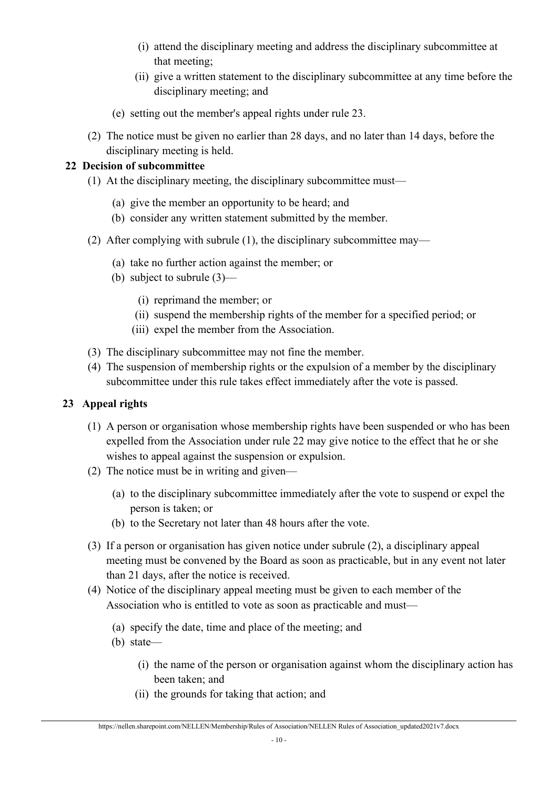- (i) attend the disciplinary meeting and address the disciplinary subcommittee at that meeting;
- (ii) give a written statement to the disciplinary subcommittee at any time before the disciplinary meeting; and
- (e) setting out the member's appeal rights under rule 23.
- (2) The notice must be given no earlier than 28 days, and no later than 14 days, before the disciplinary meeting is held.

### **22 Decision of subcommittee**

- (1) At the disciplinary meeting, the disciplinary subcommittee must—
	- (a) give the member an opportunity to be heard; and
	- (b) consider any written statement submitted by the member.
- (2) After complying with subrule (1), the disciplinary subcommittee may—
	- (a) take no further action against the member; or
	- (b) subject to subrule (3)—
		- (i) reprimand the member; or
		- (ii) suspend the membership rights of the member for a specified period; or
		- (iii) expel the member from the Association.
- (3) The disciplinary subcommittee may not fine the member.
- (4) The suspension of membership rights or the expulsion of a member by the disciplinary subcommittee under this rule takes effect immediately after the vote is passed.

### **23 Appeal rights**

- (1) A person or organisation whose membership rights have been suspended or who has been expelled from the Association under rule 22 may give notice to the effect that he or she wishes to appeal against the suspension or expulsion.
- (2) The notice must be in writing and given—
	- (a) to the disciplinary subcommittee immediately after the vote to suspend or expel the person is taken; or
	- (b) to the Secretary not later than 48 hours after the vote.
- (3) If a person or organisation has given notice under subrule (2), a disciplinary appeal meeting must be convened by the Board as soon as practicable, but in any event not later than 21 days, after the notice is received.
- (4) Notice of the disciplinary appeal meeting must be given to each member of the Association who is entitled to vote as soon as practicable and must—
	- (a) specify the date, time and place of the meeting; and
	- (b) state—
		- (i) the name of the person or organisation against whom the disciplinary action has been taken; and
		- (ii) the grounds for taking that action; and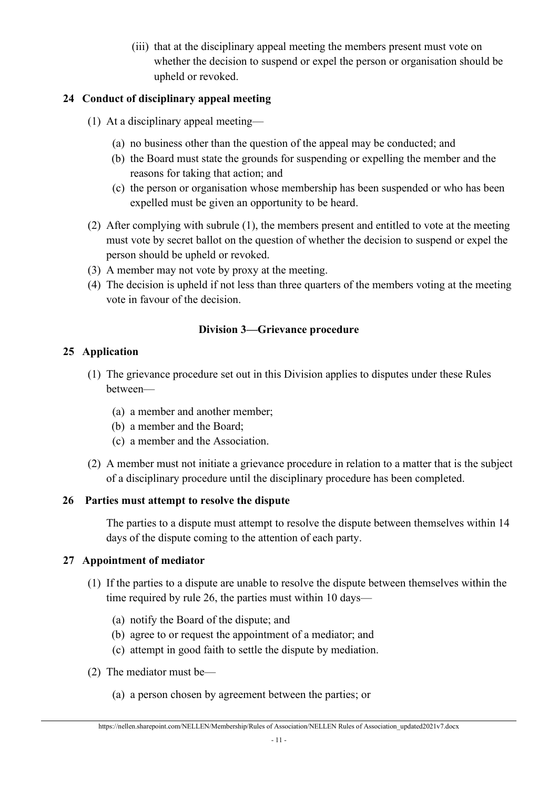(iii) that at the disciplinary appeal meeting the members present must vote on whether the decision to suspend or expel the person or organisation should be upheld or revoked.

## **24 Conduct of disciplinary appeal meeting**

- (1) At a disciplinary appeal meeting—
	- (a) no business other than the question of the appeal may be conducted; and
	- (b) the Board must state the grounds for suspending or expelling the member and the reasons for taking that action; and
	- (c) the person or organisation whose membership has been suspended or who has been expelled must be given an opportunity to be heard.
- (2) After complying with subrule (1), the members present and entitled to vote at the meeting must vote by secret ballot on the question of whether the decision to suspend or expel the person should be upheld or revoked.
- (3) A member may not vote by proxy at the meeting.
- (4) The decision is upheld if not less than three quarters of the members voting at the meeting vote in favour of the decision.

### **Division 3—Grievance procedure**

### **25 Application**

- (1) The grievance procedure set out in this Division applies to disputes under these Rules between—
	- (a) a member and another member;
	- (b) a member and the Board;
	- (c) a member and the Association.
- (2) A member must not initiate a grievance procedure in relation to a matter that is the subject of a disciplinary procedure until the disciplinary procedure has been completed.

### **26 Parties must attempt to resolve the dispute**

The parties to a dispute must attempt to resolve the dispute between themselves within 14 days of the dispute coming to the attention of each party.

### **27 Appointment of mediator**

- (1) If the parties to a dispute are unable to resolve the dispute between themselves within the time required by rule 26, the parties must within 10 days—
	- (a) notify the Board of the dispute; and
	- (b) agree to or request the appointment of a mediator; and
	- (c) attempt in good faith to settle the dispute by mediation.
- (2) The mediator must be—
	- (a) a person chosen by agreement between the parties; or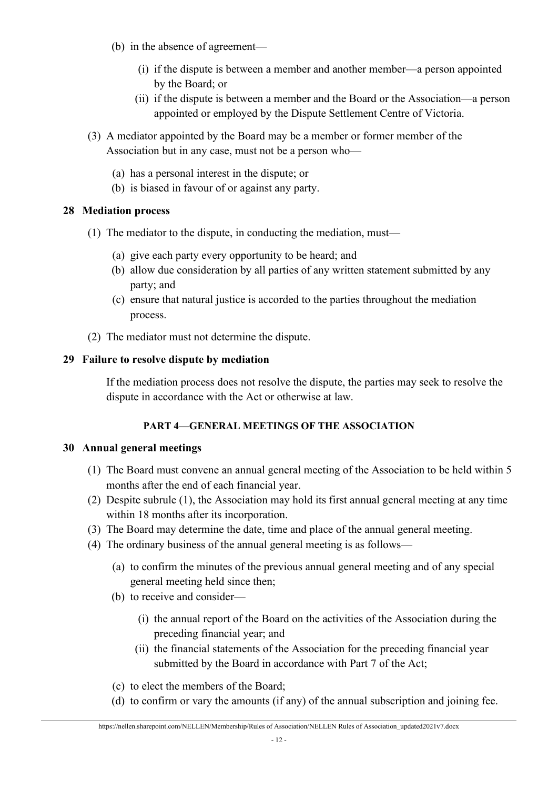- (b) in the absence of agreement—
	- (i) if the dispute is between a member and another member—a person appointed by the Board; or
	- (ii) if the dispute is between a member and the Board or the Association—a person appointed or employed by the Dispute Settlement Centre of Victoria.
- (3) A mediator appointed by the Board may be a member or former member of the Association but in any case, must not be a person who—
	- (a) has a personal interest in the dispute; or
	- (b) is biased in favour of or against any party.

### **28 Mediation process**

- (1) The mediator to the dispute, in conducting the mediation, must—
	- (a) give each party every opportunity to be heard; and
	- (b) allow due consideration by all parties of any written statement submitted by any party; and
	- (c) ensure that natural justice is accorded to the parties throughout the mediation process.
- (2) The mediator must not determine the dispute.

### **29 Failure to resolve dispute by mediation**

If the mediation process does not resolve the dispute, the parties may seek to resolve the dispute in accordance with the Act or otherwise at law.

## **PART 4—GENERAL MEETINGS OF THE ASSOCIATION**

### **30 Annual general meetings**

- (1) The Board must convene an annual general meeting of the Association to be held within 5 months after the end of each financial year.
- (2) Despite subrule (1), the Association may hold its first annual general meeting at any time within 18 months after its incorporation.
- (3) The Board may determine the date, time and place of the annual general meeting.
- (4) The ordinary business of the annual general meeting is as follows—
	- (a) to confirm the minutes of the previous annual general meeting and of any special general meeting held since then;
	- (b) to receive and consider—
		- (i) the annual report of the Board on the activities of the Association during the preceding financial year; and
		- (ii) the financial statements of the Association for the preceding financial year submitted by the Board in accordance with Part 7 of the Act;
	- (c) to elect the members of the Board;
	- (d) to confirm or vary the amounts (if any) of the annual subscription and joining fee.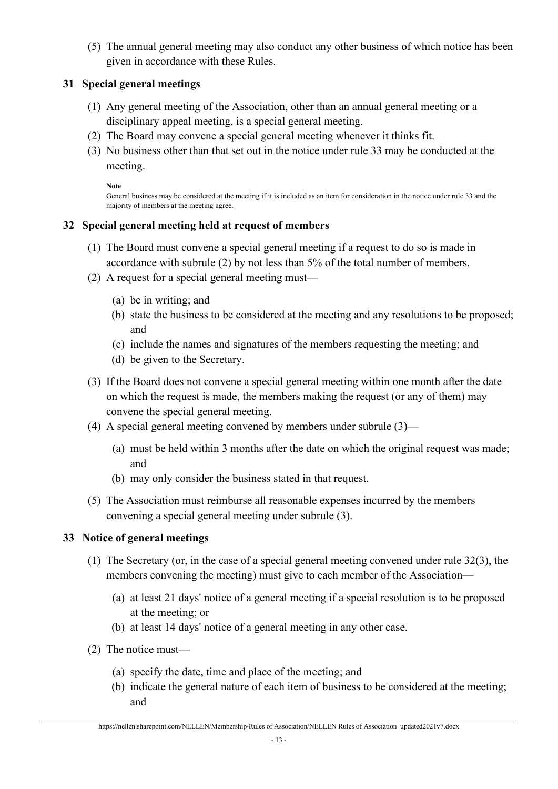(5) The annual general meeting may also conduct any other business of which notice has been given in accordance with these Rules.

## **31 Special general meetings**

- (1) Any general meeting of the Association, other than an annual general meeting or a disciplinary appeal meeting, is a special general meeting.
- (2) The Board may convene a special general meeting whenever it thinks fit.
- (3) No business other than that set out in the notice under rule 33 may be conducted at the meeting.

**Note**

General business may be considered at the meeting if it is included as an item for consideration in the notice under rule 33 and the majority of members at the meeting agree.

### **32 Special general meeting held at request of members**

- (1) The Board must convene a special general meeting if a request to do so is made in accordance with subrule (2) by not less than 5% of the total number of members.
- (2) A request for a special general meeting must—
	- (a) be in writing; and
	- (b) state the business to be considered at the meeting and any resolutions to be proposed; and
	- (c) include the names and signatures of the members requesting the meeting; and
	- (d) be given to the Secretary.
- (3) If the Board does not convene a special general meeting within one month after the date on which the request is made, the members making the request (or any of them) may convene the special general meeting.
- (4) A special general meeting convened by members under subrule (3)—
	- (a) must be held within 3 months after the date on which the original request was made; and
	- (b) may only consider the business stated in that request.
- (5) The Association must reimburse all reasonable expenses incurred by the members convening a special general meeting under subrule (3).

## **33 Notice of general meetings**

- (1) The Secretary (or, in the case of a special general meeting convened under rule 32(3), the members convening the meeting) must give to each member of the Association—
	- (a) at least 21 days' notice of a general meeting if a special resolution is to be proposed at the meeting; or
	- (b) at least 14 days' notice of a general meeting in any other case.
- (2) The notice must—
	- (a) specify the date, time and place of the meeting; and
	- (b) indicate the general nature of each item of business to be considered at the meeting; and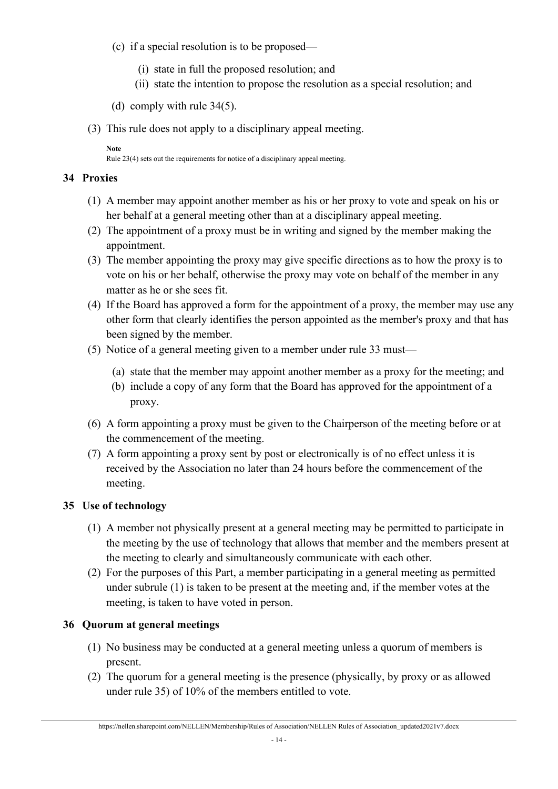- (c) if a special resolution is to be proposed—
	- (i) state in full the proposed resolution; and
	- (ii) state the intention to propose the resolution as a special resolution; and
- (d) comply with rule 34(5).
- (3) This rule does not apply to a disciplinary appeal meeting.

**Note** Rule 23(4) sets out the requirements for notice of a disciplinary appeal meeting.

### **34 Proxies**

- (1) A member may appoint another member as his or her proxy to vote and speak on his or her behalf at a general meeting other than at a disciplinary appeal meeting.
- (2) The appointment of a proxy must be in writing and signed by the member making the appointment.
- (3) The member appointing the proxy may give specific directions as to how the proxy is to vote on his or her behalf, otherwise the proxy may vote on behalf of the member in any matter as he or she sees fit.
- (4) If the Board has approved a form for the appointment of a proxy, the member may use any other form that clearly identifies the person appointed as the member's proxy and that has been signed by the member.
- (5) Notice of a general meeting given to a member under rule 33 must—
	- (a) state that the member may appoint another member as a proxy for the meeting; and
	- (b) include a copy of any form that the Board has approved for the appointment of a proxy.
- (6) A form appointing a proxy must be given to the Chairperson of the meeting before or at the commencement of the meeting.
- (7) A form appointing a proxy sent by post or electronically is of no effect unless it is received by the Association no later than 24 hours before the commencement of the meeting.

### **35 Use of technology**

- (1) A member not physically present at a general meeting may be permitted to participate in the meeting by the use of technology that allows that member and the members present at the meeting to clearly and simultaneously communicate with each other.
- (2) For the purposes of this Part, a member participating in a general meeting as permitted under subrule (1) is taken to be present at the meeting and, if the member votes at the meeting, is taken to have voted in person.

### **36 Quorum at general meetings**

- (1) No business may be conducted at a general meeting unless a quorum of members is present.
- (2) The quorum for a general meeting is the presence (physically, by proxy or as allowed under rule 35) of 10% of the members entitled to vote.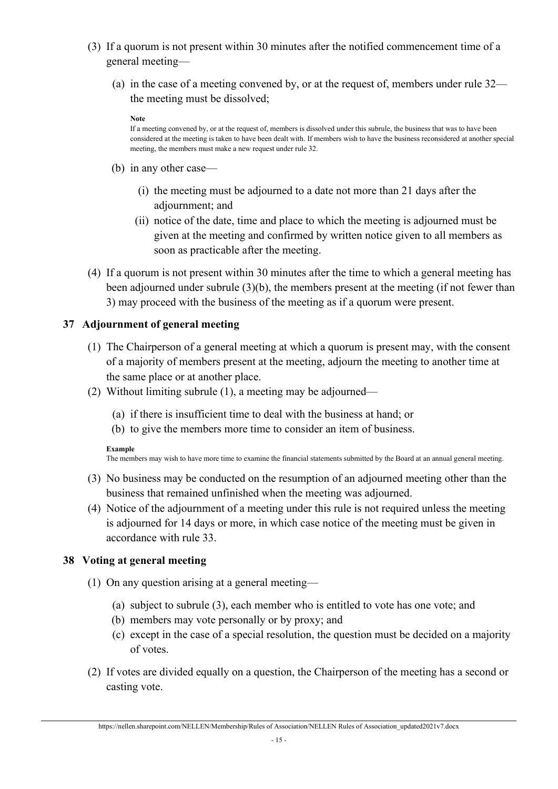- (3) If a quorum is not present within 30 minutes after the notified commencement time of a general meeting—
	- (a) in the case of a meeting convened by, or at the request of, members under rule 32 the meeting must be dissolved;

**Note**

If a meeting convened by, or at the request of, members is dissolved under this subrule, the business that was to have been considered at the meeting is taken to have been dealt with. If members wish to have the business reconsidered at another special meeting, the members must make a new request under rule 32.

- (b) in any other case—
	- (i) the meeting must be adjourned to a date not more than 21 days after the adjournment; and
	- (ii) notice of the date, time and place to which the meeting is adjourned must be given at the meeting and confirmed by written notice given to all members as soon as practicable after the meeting.
- (4) If a quorum is not present within 30 minutes after the time to which a general meeting has been adjourned under subrule (3)(b), the members present at the meeting (if not fewer than 3) may proceed with the business of the meeting as if a quorum were present.

### **37 Adjournment of general meeting**

- (1) The Chairperson of a general meeting at which a quorum is present may, with the consent of a majority of members present at the meeting, adjourn the meeting to another time at the same place or at another place.
- (2) Without limiting subrule (1), a meeting may be adjourned—
	- (a) if there is insufficient time to deal with the business at hand; or
	- (b) to give the members more time to consider an item of business.

**Example**

The members may wish to have more time to examine the financial statements submitted by the Board at an annual general meeting.

- (3) No business may be conducted on the resumption of an adjourned meeting other than the business that remained unfinished when the meeting was adjourned.
- (4) Notice of the adjournment of a meeting under this rule is not required unless the meeting is adjourned for 14 days or more, in which case notice of the meeting must be given in accordance with rule 33.

## **38 Voting at general meeting**

- (1) On any question arising at a general meeting—
	- (a) subject to subrule (3), each member who is entitled to vote has one vote; and
	- (b) members may vote personally or by proxy; and
	- (c) except in the case of a special resolution, the question must be decided on a majority of votes.
- (2) If votes are divided equally on a question, the Chairperson of the meeting has a second or casting vote.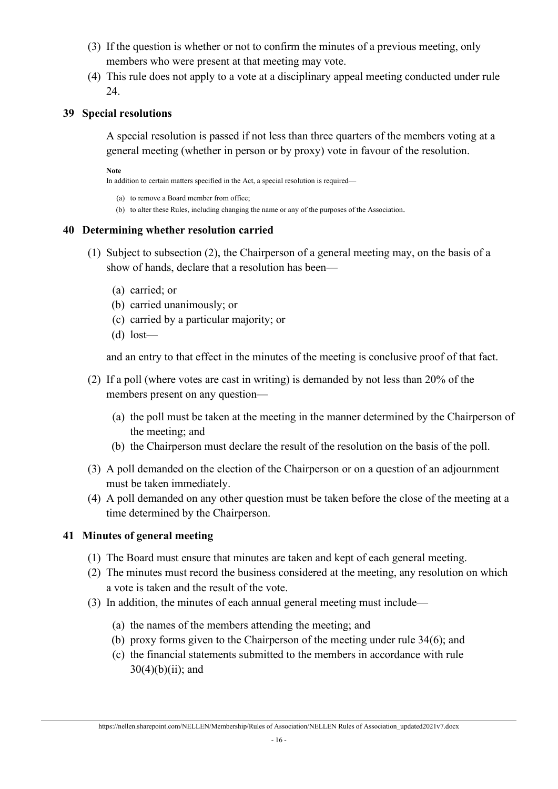- (3) If the question is whether or not to confirm the minutes of a previous meeting, only members who were present at that meeting may vote.
- (4) This rule does not apply to a vote at a disciplinary appeal meeting conducted under rule 24.

### **39 Special resolutions**

A special resolution is passed if not less than three quarters of the members voting at a general meeting (whether in person or by proxy) vote in favour of the resolution.

**Note**

In addition to certain matters specified in the Act, a special resolution is required—

- (a) to remove a Board member from office;
- (b) to alter these Rules, including changing the name or any of the purposes of the Association.

### **40 Determining whether resolution carried**

- (1) Subject to subsection (2), the Chairperson of a general meeting may, on the basis of a show of hands, declare that a resolution has been—
	- (a) carried; or
	- (b) carried unanimously; or
	- (c) carried by a particular majority; or
	- (d) lost—

and an entry to that effect in the minutes of the meeting is conclusive proof of that fact.

- (2) If a poll (where votes are cast in writing) is demanded by not less than 20% of the members present on any question—
	- (a) the poll must be taken at the meeting in the manner determined by the Chairperson of the meeting; and
	- (b) the Chairperson must declare the result of the resolution on the basis of the poll.
- (3) A poll demanded on the election of the Chairperson or on a question of an adjournment must be taken immediately.
- (4) A poll demanded on any other question must be taken before the close of the meeting at a time determined by the Chairperson.

### **41 Minutes of general meeting**

- (1) The Board must ensure that minutes are taken and kept of each general meeting.
- (2) The minutes must record the business considered at the meeting, any resolution on which a vote is taken and the result of the vote.
- (3) In addition, the minutes of each annual general meeting must include—
	- (a) the names of the members attending the meeting; and
	- (b) proxy forms given to the Chairperson of the meeting under rule 34(6); and
	- (c) the financial statements submitted to the members in accordance with rule  $30(4)(b)(ii)$ ; and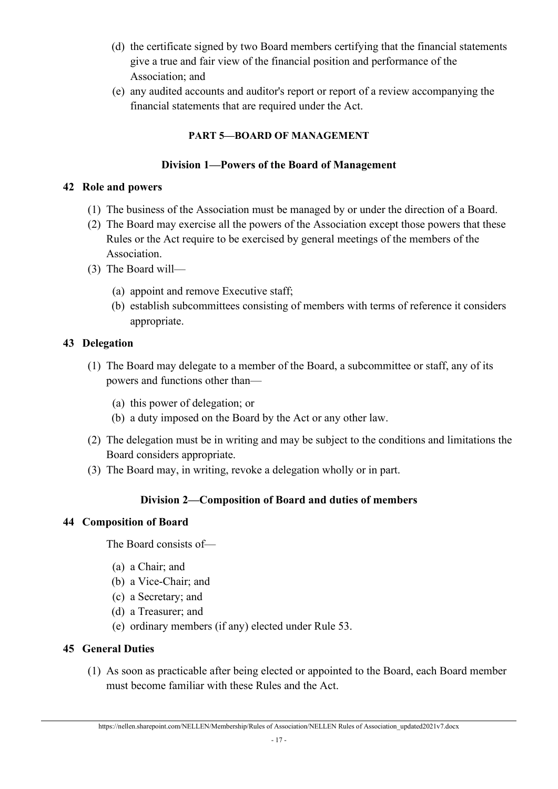- (d) the certificate signed by two Board members certifying that the financial statements give a true and fair view of the financial position and performance of the Association; and
- (e) any audited accounts and auditor's report or report of a review accompanying the financial statements that are required under the Act.

## **PART 5—BOARD OF MANAGEMENT**

## **Division 1—Powers of the Board of Management**

### **42 Role and powers**

- (1) The business of the Association must be managed by or under the direction of a Board.
- (2) The Board may exercise all the powers of the Association except those powers that these Rules or the Act require to be exercised by general meetings of the members of the Association.
- (3) The Board will—
	- (a) appoint and remove Executive staff;
	- (b) establish subcommittees consisting of members with terms of reference it considers appropriate.

## **43 Delegation**

- (1) The Board may delegate to a member of the Board, a subcommittee or staff, any of its powers and functions other than—
	- (a) this power of delegation; or
	- (b) a duty imposed on the Board by the Act or any other law.
- (2) The delegation must be in writing and may be subject to the conditions and limitations the Board considers appropriate.
- (3) The Board may, in writing, revoke a delegation wholly or in part.

## **Division 2—Composition of Board and duties of members**

## **44 Composition of Board**

The Board consists of—

- (a) a Chair; and
- (b) a Vice-Chair; and
- (c) a Secretary; and
- (d) a Treasurer; and
- (e) ordinary members (if any) elected under Rule 53.

## **45 General Duties**

(1) As soon as practicable after being elected or appointed to the Board, each Board member must become familiar with these Rules and the Act.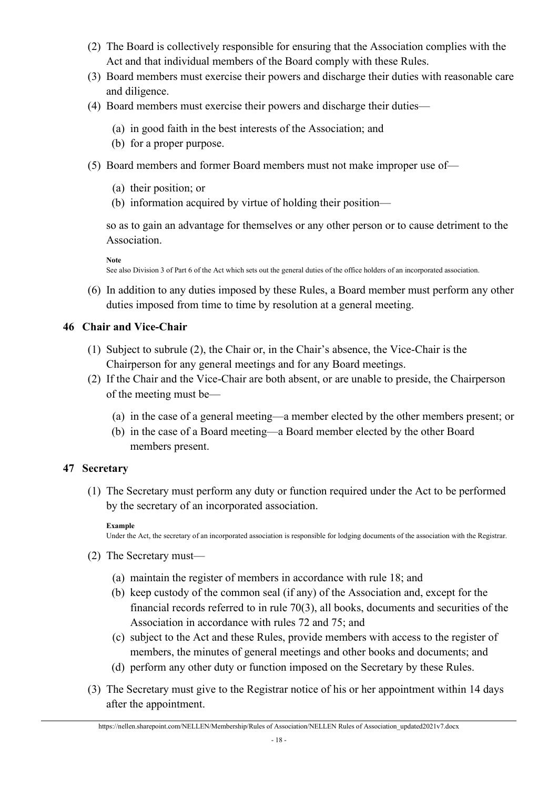- (2) The Board is collectively responsible for ensuring that the Association complies with the Act and that individual members of the Board comply with these Rules.
- (3) Board members must exercise their powers and discharge their duties with reasonable care and diligence.
- (4) Board members must exercise their powers and discharge their duties—
	- (a) in good faith in the best interests of the Association; and
	- (b) for a proper purpose.
- (5) Board members and former Board members must not make improper use of—
	- (a) their position; or
	- (b) information acquired by virtue of holding their position—

so as to gain an advantage for themselves or any other person or to cause detriment to the Association.

**Note**  See also Division 3 of Part 6 of the Act which sets out the general duties of the office holders of an incorporated association.

 (6) In addition to any duties imposed by these Rules, a Board member must perform any other duties imposed from time to time by resolution at a general meeting.

### **46 Chair and Vice-Chair**

- (1) Subject to subrule (2), the Chair or, in the Chair's absence, the Vice-Chair is the Chairperson for any general meetings and for any Board meetings.
- (2) If the Chair and the Vice-Chair are both absent, or are unable to preside, the Chairperson of the meeting must be—
	- (a) in the case of a general meeting—a member elected by the other members present; or
	- (b) in the case of a Board meeting—a Board member elected by the other Board members present.

### **47 Secretary**

(1) The Secretary must perform any duty or function required under the Act to be performed by the secretary of an incorporated association.

**Example** Under the Act, the secretary of an incorporated association is responsible for lodging documents of the association with the Registrar.

- (2) The Secretary must—
	- (a) maintain the register of members in accordance with rule 18; and
	- (b) keep custody of the common seal (if any) of the Association and, except for the financial records referred to in rule 70(3), all books, documents and securities of the Association in accordance with rules 72 and 75; and
	- (c) subject to the Act and these Rules, provide members with access to the register of members, the minutes of general meetings and other books and documents; and
	- (d) perform any other duty or function imposed on the Secretary by these Rules.
- (3) The Secretary must give to the Registrar notice of his or her appointment within 14 days after the appointment.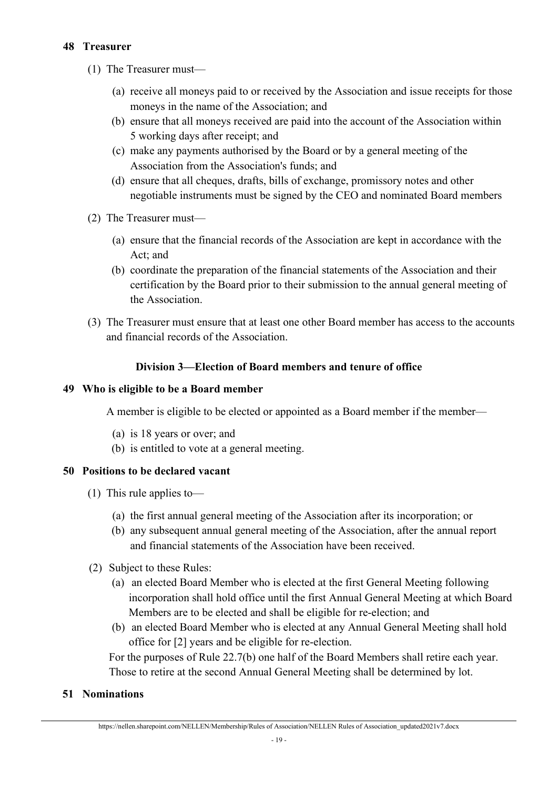### **48 Treasurer**

- (1) The Treasurer must—
	- (a) receive all moneys paid to or received by the Association and issue receipts for those moneys in the name of the Association; and
	- (b) ensure that all moneys received are paid into the account of the Association within 5 working days after receipt; and
	- (c) make any payments authorised by the Board or by a general meeting of the Association from the Association's funds; and
	- (d) ensure that all cheques, drafts, bills of exchange, promissory notes and other negotiable instruments must be signed by the CEO and nominated Board members
- (2) The Treasurer must—
	- (a) ensure that the financial records of the Association are kept in accordance with the Act; and
	- (b) coordinate the preparation of the financial statements of the Association and their certification by the Board prior to their submission to the annual general meeting of the Association.
- (3) The Treasurer must ensure that at least one other Board member has access to the accounts and financial records of the Association.

### **Division 3—Election of Board members and tenure of office**

### **49 Who is eligible to be a Board member**

A member is eligible to be elected or appointed as a Board member if the member—

- (a) is 18 years or over; and
- (b) is entitled to vote at a general meeting.

### **50 Positions to be declared vacant**

- (1) This rule applies to—
	- (a) the first annual general meeting of the Association after its incorporation; or
	- (b) any subsequent annual general meeting of the Association, after the annual report and financial statements of the Association have been received.
- (2) Subject to these Rules:
	- (a) an elected Board Member who is elected at the first General Meeting following incorporation shall hold office until the first Annual General Meeting at which Board Members are to be elected and shall be eligible for re-election; and
	- (b) an elected Board Member who is elected at any Annual General Meeting shall hold office for [2] years and be eligible for re-election.

For the purposes of Rule 22.7(b) one half of the Board Members shall retire each year. Those to retire at the second Annual General Meeting shall be determined by lot.

### **51 Nominations**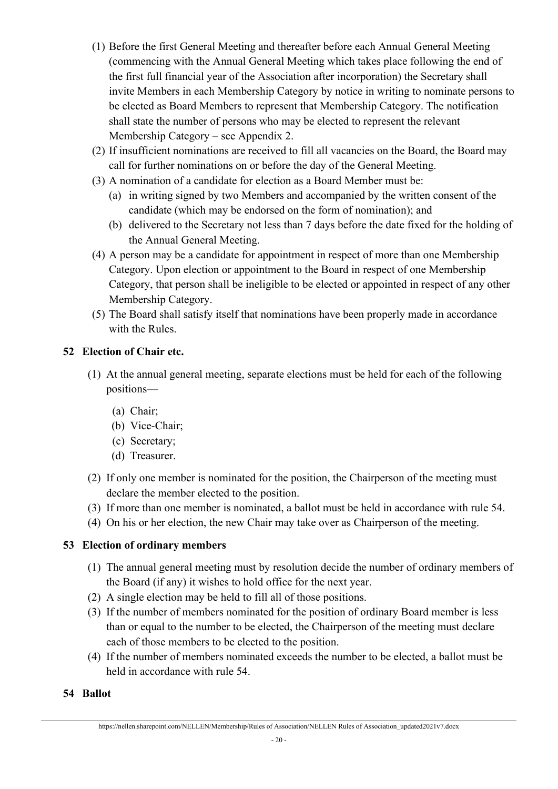- (1) Before the first General Meeting and thereafter before each Annual General Meeting (commencing with the Annual General Meeting which takes place following the end of the first full financial year of the Association after incorporation) the Secretary shall invite Members in each Membership Category by notice in writing to nominate persons to be elected as Board Members to represent that Membership Category. The notification shall state the number of persons who may be elected to represent the relevant Membership Category – see Appendix 2.
- (2) If insufficient nominations are received to fill all vacancies on the Board, the Board may call for further nominations on or before the day of the General Meeting.
- (3) A nomination of a candidate for election as a Board Member must be:
	- (a) in writing signed by two Members and accompanied by the written consent of the candidate (which may be endorsed on the form of nomination); and
	- (b) delivered to the Secretary not less than 7 days before the date fixed for the holding of the Annual General Meeting.
- (4) A person may be a candidate for appointment in respect of more than one Membership Category. Upon election or appointment to the Board in respect of one Membership Category, that person shall be ineligible to be elected or appointed in respect of any other Membership Category.
- (5) The Board shall satisfy itself that nominations have been properly made in accordance with the Rules.

## **52 Election of Chair etc.**

- (1) At the annual general meeting, separate elections must be held for each of the following positions—
	- (a) Chair;
	- (b) Vice-Chair;
	- (c) Secretary;
	- (d) Treasurer.
- (2) If only one member is nominated for the position, the Chairperson of the meeting must declare the member elected to the position.
- (3) If more than one member is nominated, a ballot must be held in accordance with rule 54.
- (4) On his or her election, the new Chair may take over as Chairperson of the meeting.

## **53 Election of ordinary members**

- (1) The annual general meeting must by resolution decide the number of ordinary members of the Board (if any) it wishes to hold office for the next year.
- (2) A single election may be held to fill all of those positions.
- (3) If the number of members nominated for the position of ordinary Board member is less than or equal to the number to be elected, the Chairperson of the meeting must declare each of those members to be elected to the position.
- (4) If the number of members nominated exceeds the number to be elected, a ballot must be held in accordance with rule 54.

## **54 Ballot**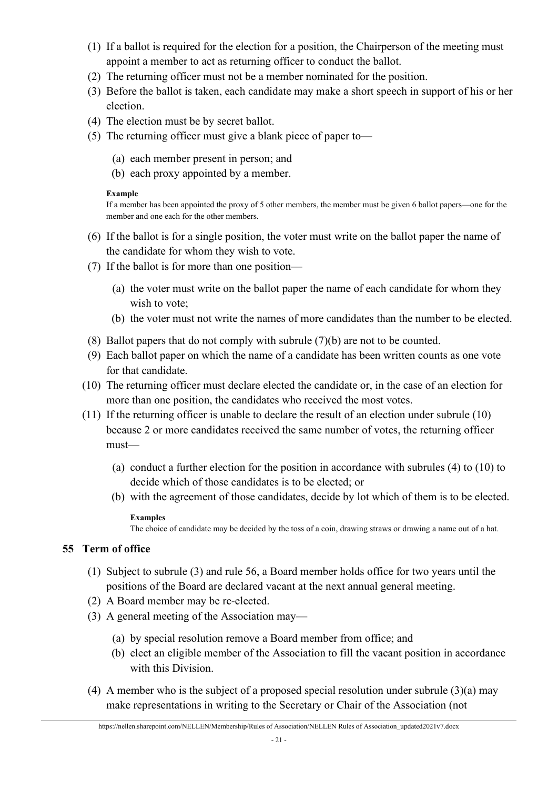- (1) If a ballot is required for the election for a position, the Chairperson of the meeting must appoint a member to act as returning officer to conduct the ballot.
- (2) The returning officer must not be a member nominated for the position.
- (3) Before the ballot is taken, each candidate may make a short speech in support of his or her election.
- (4) The election must be by secret ballot.
- (5) The returning officer must give a blank piece of paper to—
	- (a) each member present in person; and
	- (b) each proxy appointed by a member.

#### **Example**

If a member has been appointed the proxy of 5 other members, the member must be given 6 ballot papers—one for the member and one each for the other members.

- (6) If the ballot is for a single position, the voter must write on the ballot paper the name of the candidate for whom they wish to vote.
- (7) If the ballot is for more than one position—
	- (a) the voter must write on the ballot paper the name of each candidate for whom they wish to vote;
	- (b) the voter must not write the names of more candidates than the number to be elected.
- (8) Ballot papers that do not comply with subrule (7)(b) are not to be counted.
- (9) Each ballot paper on which the name of a candidate has been written counts as one vote for that candidate.
- (10) The returning officer must declare elected the candidate or, in the case of an election for more than one position, the candidates who received the most votes.
- (11) If the returning officer is unable to declare the result of an election under subrule (10) because 2 or more candidates received the same number of votes, the returning officer must—
	- (a) conduct a further election for the position in accordance with subrules (4) to (10) to decide which of those candidates is to be elected; or
	- (b) with the agreement of those candidates, decide by lot which of them is to be elected.

### **Examples**

The choice of candidate may be decided by the toss of a coin, drawing straws or drawing a name out of a hat.

## **55 Term of office**

- (1) Subject to subrule (3) and rule 56, a Board member holds office for two years until the positions of the Board are declared vacant at the next annual general meeting.
- (2) A Board member may be re-elected.
- (3) A general meeting of the Association may—
	- (a) by special resolution remove a Board member from office; and
	- (b) elect an eligible member of the Association to fill the vacant position in accordance with this Division.
- (4) A member who is the subject of a proposed special resolution under subrule (3)(a) may make representations in writing to the Secretary or Chair of the Association (not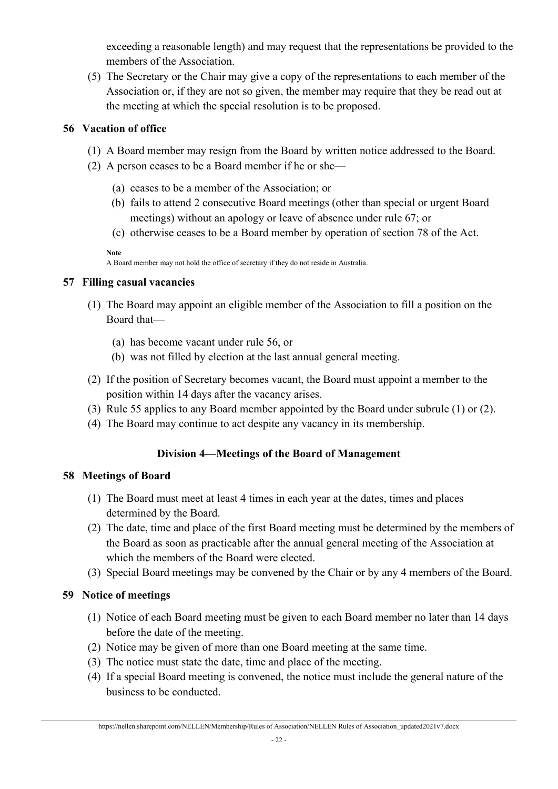exceeding a reasonable length) and may request that the representations be provided to the members of the Association.

(5) The Secretary or the Chair may give a copy of the representations to each member of the Association or, if they are not so given, the member may require that they be read out at the meeting at which the special resolution is to be proposed.

## **56 Vacation of office**

- (1) A Board member may resign from the Board by written notice addressed to the Board.
- (2) A person ceases to be a Board member if he or she—
	- (a) ceases to be a member of the Association; or
	- (b) fails to attend 2 consecutive Board meetings (other than special or urgent Board meetings) without an apology or leave of absence under rule 67; or
	- (c) otherwise ceases to be a Board member by operation of section 78 of the Act.

**Note**

A Board member may not hold the office of secretary if they do not reside in Australia.

## **57 Filling casual vacancies**

- (1) The Board may appoint an eligible member of the Association to fill a position on the Board that—
	- (a) has become vacant under rule 56, or
	- (b) was not filled by election at the last annual general meeting.
- (2) If the position of Secretary becomes vacant, the Board must appoint a member to the position within 14 days after the vacancy arises.
- (3) Rule 55 applies to any Board member appointed by the Board under subrule (1) or (2).
- (4) The Board may continue to act despite any vacancy in its membership.

## **Division 4—Meetings of the Board of Management**

## **58 Meetings of Board**

- (1) The Board must meet at least 4 times in each year at the dates, times and places determined by the Board.
- (2) The date, time and place of the first Board meeting must be determined by the members of the Board as soon as practicable after the annual general meeting of the Association at which the members of the Board were elected.
- (3) Special Board meetings may be convened by the Chair or by any 4 members of the Board.

## **59 Notice of meetings**

- (1) Notice of each Board meeting must be given to each Board member no later than 14 days before the date of the meeting.
- (2) Notice may be given of more than one Board meeting at the same time.
- (3) The notice must state the date, time and place of the meeting.
- (4) If a special Board meeting is convened, the notice must include the general nature of the business to be conducted.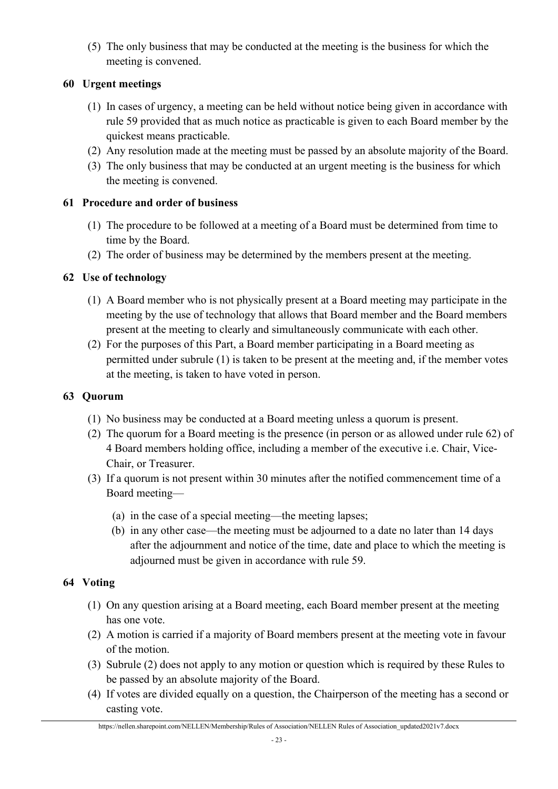(5) The only business that may be conducted at the meeting is the business for which the meeting is convened.

### **60 Urgent meetings**

- (1) In cases of urgency, a meeting can be held without notice being given in accordance with rule 59 provided that as much notice as practicable is given to each Board member by the quickest means practicable.
- (2) Any resolution made at the meeting must be passed by an absolute majority of the Board.
- (3) The only business that may be conducted at an urgent meeting is the business for which the meeting is convened.

### **61 Procedure and order of business**

- (1) The procedure to be followed at a meeting of a Board must be determined from time to time by the Board.
- (2) The order of business may be determined by the members present at the meeting.

## **62 Use of technology**

- (1) A Board member who is not physically present at a Board meeting may participate in the meeting by the use of technology that allows that Board member and the Board members present at the meeting to clearly and simultaneously communicate with each other.
- (2) For the purposes of this Part, a Board member participating in a Board meeting as permitted under subrule (1) is taken to be present at the meeting and, if the member votes at the meeting, is taken to have voted in person.

### **63 Quorum**

- (1) No business may be conducted at a Board meeting unless a quorum is present.
- (2) The quorum for a Board meeting is the presence (in person or as allowed under rule 62) of 4 Board members holding office, including a member of the executive i.e. Chair, Vice-Chair, or Treasurer.
- (3) If a quorum is not present within 30 minutes after the notified commencement time of a Board meeting—
	- (a) in the case of a special meeting—the meeting lapses;
	- (b) in any other case—the meeting must be adjourned to a date no later than 14 days after the adjournment and notice of the time, date and place to which the meeting is adjourned must be given in accordance with rule 59.

## **64 Voting**

- (1) On any question arising at a Board meeting, each Board member present at the meeting has one vote.
- (2) A motion is carried if a majority of Board members present at the meeting vote in favour of the motion.
- (3) Subrule (2) does not apply to any motion or question which is required by these Rules to be passed by an absolute majority of the Board.
- (4) If votes are divided equally on a question, the Chairperson of the meeting has a second or casting vote.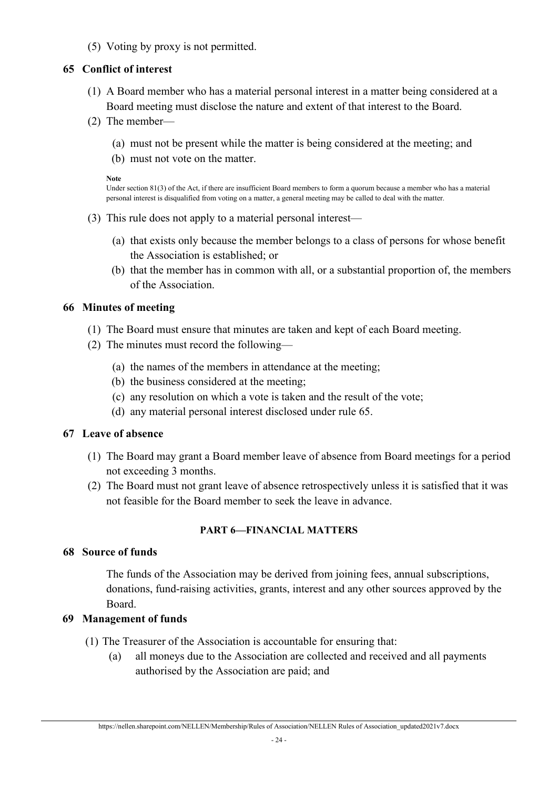(5) Voting by proxy is not permitted.

### **65 Conflict of interest**

- (1) A Board member who has a material personal interest in a matter being considered at a Board meeting must disclose the nature and extent of that interest to the Board.
- (2) The member—
	- (a) must not be present while the matter is being considered at the meeting; and
	- (b) must not vote on the matter.

**Note**

Under section 81(3) of the Act, if there are insufficient Board members to form a quorum because a member who has a material personal interest is disqualified from voting on a matter, a general meeting may be called to deal with the matter.

- (3) This rule does not apply to a material personal interest—
	- (a) that exists only because the member belongs to a class of persons for whose benefit the Association is established; or
	- (b) that the member has in common with all, or a substantial proportion of, the members of the Association.

### **66 Minutes of meeting**

- (1) The Board must ensure that minutes are taken and kept of each Board meeting.
- (2) The minutes must record the following—
	- (a) the names of the members in attendance at the meeting;
	- (b) the business considered at the meeting;
	- (c) any resolution on which a vote is taken and the result of the vote;
	- (d) any material personal interest disclosed under rule 65.

#### **67 Leave of absence**

- (1) The Board may grant a Board member leave of absence from Board meetings for a period not exceeding 3 months.
- (2) The Board must not grant leave of absence retrospectively unless it is satisfied that it was not feasible for the Board member to seek the leave in advance.

### **PART 6—FINANCIAL MATTERS**

#### **68 Source of funds**

The funds of the Association may be derived from joining fees, annual subscriptions, donations, fund-raising activities, grants, interest and any other sources approved by the Board.

### **69 Management of funds**

- (1) The Treasurer of the Association is accountable for ensuring that:
	- (a) all moneys due to the Association are collected and received and all payments authorised by the Association are paid; and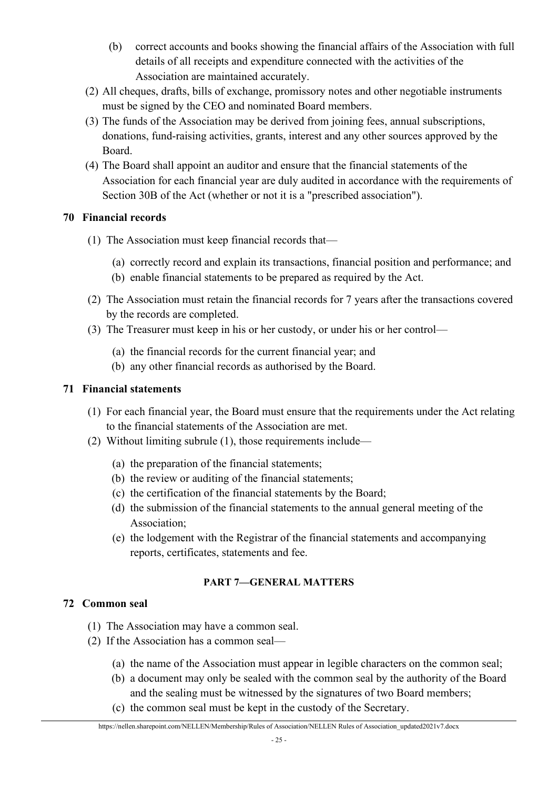- (b) correct accounts and books showing the financial affairs of the Association with full details of all receipts and expenditure connected with the activities of the Association are maintained accurately.
- (2) All cheques, drafts, bills of exchange, promissory notes and other negotiable instruments must be signed by the CEO and nominated Board members.
- (3) The funds of the Association may be derived from joining fees, annual subscriptions, donations, fund-raising activities, grants, interest and any other sources approved by the Board.
- (4) The Board shall appoint an auditor and ensure that the financial statements of the Association for each financial year are duly audited in accordance with the requirements of Section 30B of the Act (whether or not it is a "prescribed association").

### **70 Financial records**

- (1) The Association must keep financial records that—
	- (a) correctly record and explain its transactions, financial position and performance; and
	- (b) enable financial statements to be prepared as required by the Act.
- (2) The Association must retain the financial records for 7 years after the transactions covered by the records are completed.
- (3) The Treasurer must keep in his or her custody, or under his or her control—
	- (a) the financial records for the current financial year; and
	- (b) any other financial records as authorised by the Board.

### **71 Financial statements**

- (1) For each financial year, the Board must ensure that the requirements under the Act relating to the financial statements of the Association are met.
- (2) Without limiting subrule (1), those requirements include—
	- (a) the preparation of the financial statements;
	- (b) the review or auditing of the financial statements;
	- (c) the certification of the financial statements by the Board;
	- (d) the submission of the financial statements to the annual general meeting of the Association;
	- (e) the lodgement with the Registrar of the financial statements and accompanying reports, certificates, statements and fee.

### **PART 7—GENERAL MATTERS**

## **72 Common seal**

- (1) The Association may have a common seal.
- (2) If the Association has a common seal—
	- (a) the name of the Association must appear in legible characters on the common seal;
	- (b) a document may only be sealed with the common seal by the authority of the Board and the sealing must be witnessed by the signatures of two Board members;
	- (c) the common seal must be kept in the custody of the Secretary.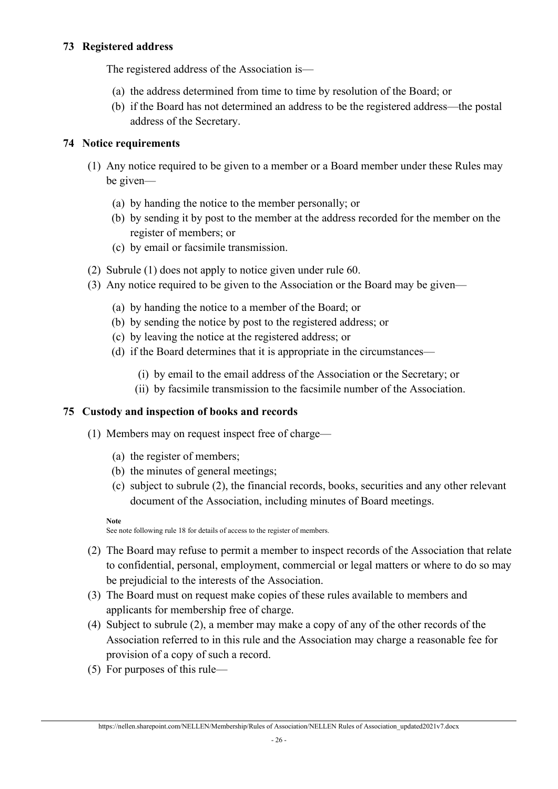### **73 Registered address**

The registered address of the Association is—

- (a) the address determined from time to time by resolution of the Board; or
- (b) if the Board has not determined an address to be the registered address—the postal address of the Secretary.

### **74 Notice requirements**

- (1) Any notice required to be given to a member or a Board member under these Rules may be given—
	- (a) by handing the notice to the member personally; or
	- (b) by sending it by post to the member at the address recorded for the member on the register of members; or
	- (c) by email or facsimile transmission.
- (2) Subrule (1) does not apply to notice given under rule 60.
- (3) Any notice required to be given to the Association or the Board may be given—
	- (a) by handing the notice to a member of the Board; or
	- (b) by sending the notice by post to the registered address; or
	- (c) by leaving the notice at the registered address; or
	- (d) if the Board determines that it is appropriate in the circumstances—
		- (i) by email to the email address of the Association or the Secretary; or
		- (ii) by facsimile transmission to the facsimile number of the Association.

#### **75 Custody and inspection of books and records**

- (1) Members may on request inspect free of charge—
	- (a) the register of members;
	- (b) the minutes of general meetings;
	- (c) subject to subrule (2), the financial records, books, securities and any other relevant document of the Association, including minutes of Board meetings.

**Note**

See note following rule 18 for details of access to the register of members.

- (2) The Board may refuse to permit a member to inspect records of the Association that relate to confidential, personal, employment, commercial or legal matters or where to do so may be prejudicial to the interests of the Association.
- (3) The Board must on request make copies of these rules available to members and applicants for membership free of charge.
- (4) Subject to subrule (2), a member may make a copy of any of the other records of the Association referred to in this rule and the Association may charge a reasonable fee for provision of a copy of such a record.
- (5) For purposes of this rule—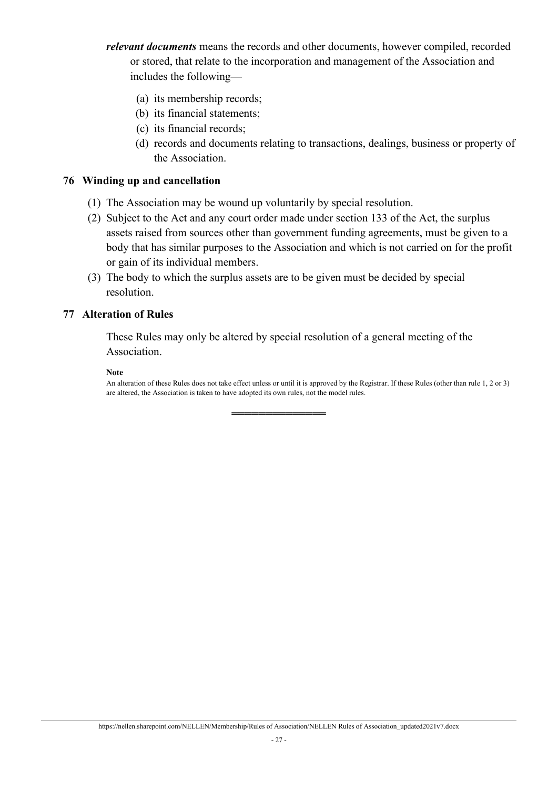*relevant documents* means the records and other documents, however compiled, recorded or stored, that relate to the incorporation and management of the Association and includes the following—

- (a) its membership records;
- (b) its financial statements;
- (c) its financial records;
- (d) records and documents relating to transactions, dealings, business or property of the Association.

#### **76 Winding up and cancellation**

- (1) The Association may be wound up voluntarily by special resolution.
- (2) Subject to the Act and any court order made under section 133 of the Act, the surplus assets raised from sources other than government funding agreements, must be given to a body that has similar purposes to the Association and which is not carried on for the profit or gain of its individual members.
- (3) The body to which the surplus assets are to be given must be decided by special resolution.

### **77 Alteration of Rules**

These Rules may only be altered by special resolution of a general meeting of the Association.

══════════════

#### **Note**

An alteration of these Rules does not take effect unless or until it is approved by the Registrar. If these Rules (other than rule 1, 2 or 3) are altered, the Association is taken to have adopted its own rules, not the model rules.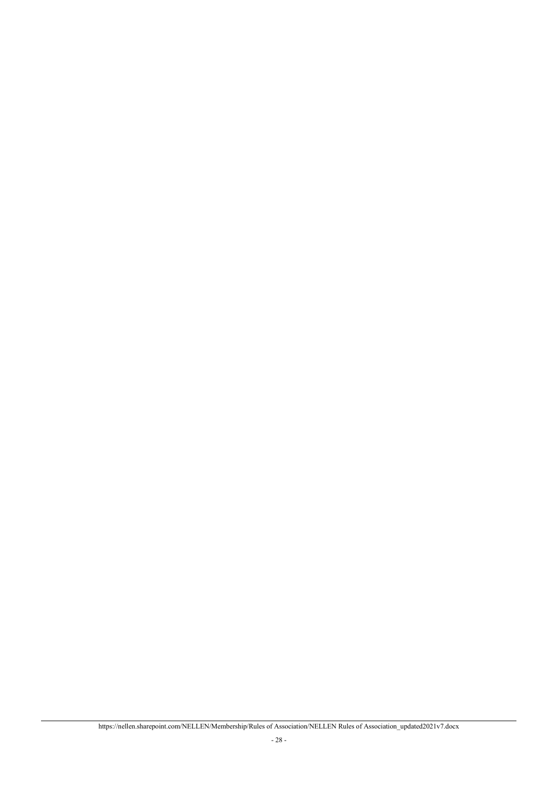#### https://nellen.sharepoint.com/NELLEN/Membership/Rules of Association/NELLEN Rules of Association\_updated2021v7.docx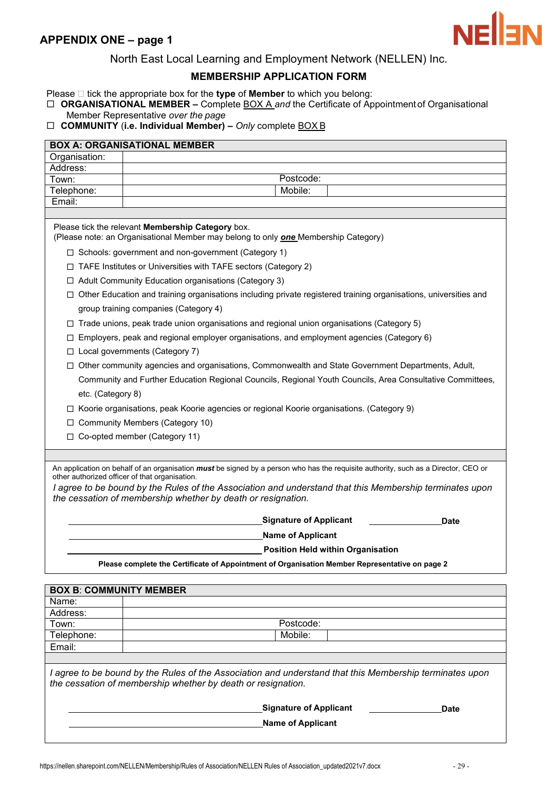

### North East Local Learning and Employment Network (NELLEN) Inc.

#### **MEMBERSHIP APPLICATION FORM**

Please  $\Box$  tick the appropriate box for the **type** of **Member** to which you belong:

- **ORGANISATIONAL MEMBER** Complete BOX A *and* the Certificate of Appointment of Organisational Member Representative *over the page*
- **COMMUNITY** (**i.e. Individual Member)** *Only* complete BOX B

|                                                                                                                                                                                                                                                                                                                                                                                                                                                                                                                                                                                                                                                                                                                                                                                                                                                                                                                                                                                                     | <b>BOX A: ORGANISATIONAL MEMBER</b>                                                            |  |  |  |  |
|-----------------------------------------------------------------------------------------------------------------------------------------------------------------------------------------------------------------------------------------------------------------------------------------------------------------------------------------------------------------------------------------------------------------------------------------------------------------------------------------------------------------------------------------------------------------------------------------------------------------------------------------------------------------------------------------------------------------------------------------------------------------------------------------------------------------------------------------------------------------------------------------------------------------------------------------------------------------------------------------------------|------------------------------------------------------------------------------------------------|--|--|--|--|
| Organisation:                                                                                                                                                                                                                                                                                                                                                                                                                                                                                                                                                                                                                                                                                                                                                                                                                                                                                                                                                                                       |                                                                                                |  |  |  |  |
| Address:                                                                                                                                                                                                                                                                                                                                                                                                                                                                                                                                                                                                                                                                                                                                                                                                                                                                                                                                                                                            |                                                                                                |  |  |  |  |
| Town:                                                                                                                                                                                                                                                                                                                                                                                                                                                                                                                                                                                                                                                                                                                                                                                                                                                                                                                                                                                               | Postcode:                                                                                      |  |  |  |  |
| Telephone:<br>Email:                                                                                                                                                                                                                                                                                                                                                                                                                                                                                                                                                                                                                                                                                                                                                                                                                                                                                                                                                                                | Mobile:                                                                                        |  |  |  |  |
|                                                                                                                                                                                                                                                                                                                                                                                                                                                                                                                                                                                                                                                                                                                                                                                                                                                                                                                                                                                                     |                                                                                                |  |  |  |  |
| Please tick the relevant Membership Category box.<br>(Please note: an Organisational Member may belong to only <b>one</b> Membership Category)<br>□ Schools: government and non-government (Category 1)<br>$\Box$ TAFE Institutes or Universities with TAFE sectors (Category 2)<br>□ Adult Community Education organisations (Category 3)<br>Other Education and training organisations including private registered training organisations, universities and<br>group training companies (Category 4)<br>$\Box$ Trade unions, peak trade union organisations and regional union organisations (Category 5)<br>Employers, peak and regional employer organisations, and employment agencies (Category 6)<br>ப<br>$\Box$ Local governments (Category 7)<br>Other community agencies and organisations, Commonwealth and State Government Departments, Adult,<br>□<br>Community and Further Education Regional Councils, Regional Youth Councils, Area Consultative Committees,<br>etc. (Category 8) |                                                                                                |  |  |  |  |
|                                                                                                                                                                                                                                                                                                                                                                                                                                                                                                                                                                                                                                                                                                                                                                                                                                                                                                                                                                                                     | Koorie organisations, peak Koorie agencies or regional Koorie organisations. (Category 9)      |  |  |  |  |
|                                                                                                                                                                                                                                                                                                                                                                                                                                                                                                                                                                                                                                                                                                                                                                                                                                                                                                                                                                                                     | Community Members (Category 10)                                                                |  |  |  |  |
|                                                                                                                                                                                                                                                                                                                                                                                                                                                                                                                                                                                                                                                                                                                                                                                                                                                                                                                                                                                                     | Co-opted member (Category 11)                                                                  |  |  |  |  |
| An application on behalf of an organisation <i>must</i> be signed by a person who has the requisite authority, such as a Director, CEO or<br>other authorized officer of that organisation.<br>I agree to be bound by the Rules of the Association and understand that this Membership terminates upon<br>the cessation of membership whether by death or resignation.                                                                                                                                                                                                                                                                                                                                                                                                                                                                                                                                                                                                                              |                                                                                                |  |  |  |  |
|                                                                                                                                                                                                                                                                                                                                                                                                                                                                                                                                                                                                                                                                                                                                                                                                                                                                                                                                                                                                     | <b>Signature of Applicant</b><br><b>Date</b>                                                   |  |  |  |  |
|                                                                                                                                                                                                                                                                                                                                                                                                                                                                                                                                                                                                                                                                                                                                                                                                                                                                                                                                                                                                     | <b>Name of Applicant</b>                                                                       |  |  |  |  |
|                                                                                                                                                                                                                                                                                                                                                                                                                                                                                                                                                                                                                                                                                                                                                                                                                                                                                                                                                                                                     | Position Held within Organisation                                                              |  |  |  |  |
|                                                                                                                                                                                                                                                                                                                                                                                                                                                                                                                                                                                                                                                                                                                                                                                                                                                                                                                                                                                                     |                                                                                                |  |  |  |  |
|                                                                                                                                                                                                                                                                                                                                                                                                                                                                                                                                                                                                                                                                                                                                                                                                                                                                                                                                                                                                     | Please complete the Certificate of Appointment of Organisation Member Representative on page 2 |  |  |  |  |
|                                                                                                                                                                                                                                                                                                                                                                                                                                                                                                                                                                                                                                                                                                                                                                                                                                                                                                                                                                                                     |                                                                                                |  |  |  |  |
| <b>BOX B: COMMUNITY MEMBER</b><br>Name:                                                                                                                                                                                                                                                                                                                                                                                                                                                                                                                                                                                                                                                                                                                                                                                                                                                                                                                                                             |                                                                                                |  |  |  |  |
| Address:                                                                                                                                                                                                                                                                                                                                                                                                                                                                                                                                                                                                                                                                                                                                                                                                                                                                                                                                                                                            |                                                                                                |  |  |  |  |
| Town:                                                                                                                                                                                                                                                                                                                                                                                                                                                                                                                                                                                                                                                                                                                                                                                                                                                                                                                                                                                               | Postcode:                                                                                      |  |  |  |  |
| Telephone:                                                                                                                                                                                                                                                                                                                                                                                                                                                                                                                                                                                                                                                                                                                                                                                                                                                                                                                                                                                          | Mobile:                                                                                        |  |  |  |  |
| Email:                                                                                                                                                                                                                                                                                                                                                                                                                                                                                                                                                                                                                                                                                                                                                                                                                                                                                                                                                                                              |                                                                                                |  |  |  |  |
|                                                                                                                                                                                                                                                                                                                                                                                                                                                                                                                                                                                                                                                                                                                                                                                                                                                                                                                                                                                                     |                                                                                                |  |  |  |  |
| I agree to be bound by the Rules of the Association and understand that this Membership terminates upon<br>the cessation of membership whether by death or resignation.                                                                                                                                                                                                                                                                                                                                                                                                                                                                                                                                                                                                                                                                                                                                                                                                                             |                                                                                                |  |  |  |  |
|                                                                                                                                                                                                                                                                                                                                                                                                                                                                                                                                                                                                                                                                                                                                                                                                                                                                                                                                                                                                     | <b>Signature of Applicant</b><br><b>Date</b>                                                   |  |  |  |  |
| <b>Name of Applicant</b>                                                                                                                                                                                                                                                                                                                                                                                                                                                                                                                                                                                                                                                                                                                                                                                                                                                                                                                                                                            |                                                                                                |  |  |  |  |
|                                                                                                                                                                                                                                                                                                                                                                                                                                                                                                                                                                                                                                                                                                                                                                                                                                                                                                                                                                                                     |                                                                                                |  |  |  |  |
|                                                                                                                                                                                                                                                                                                                                                                                                                                                                                                                                                                                                                                                                                                                                                                                                                                                                                                                                                                                                     |                                                                                                |  |  |  |  |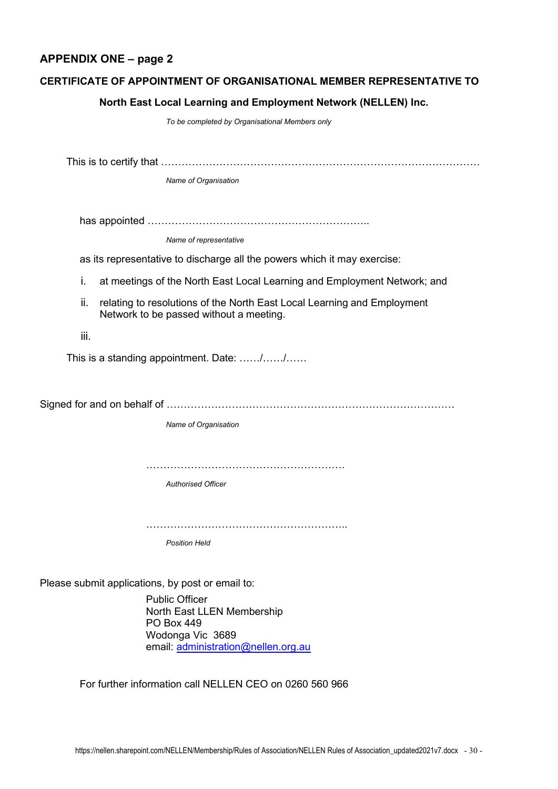### **APPENDIX ONE – page 2**

#### **CERTIFICATE OF APPOINTMENT OF ORGANISATIONAL MEMBER REPRESENTATIVE TO**

**North East Local Learning and Employment Network (NELLEN) Inc.**

*To be completed by Organisational Members only*

This is to certify that ………………………………………………………………………………… *Name of Organisation*

has appointed ………………………………………………………..

*Name of representative*

as its representative to discharge all the powers which it may exercise:

- i. at meetings of the North East Local Learning and Employment Network; and
- ii. relating to resolutions of the North East Local Learning and Employment Network to be passed without a meeting.
- iii.

This is a standing appointment. Date: ……/……/……

Signed for and on behalf of …………………………………………………………………………

*Name of Organisation*

………………………………………………….

*Authorised Officer*

…………………………………………………..

*Position Held*

Please submit applications, by post or email to:

Public Officer North East LLEN Membership PO Box 449 Wodonga Vic 3689 email: [administration@nellen.org.au](mailto:administration@nellen.org.au)

For further information call NELLEN CEO on 0260 560 966